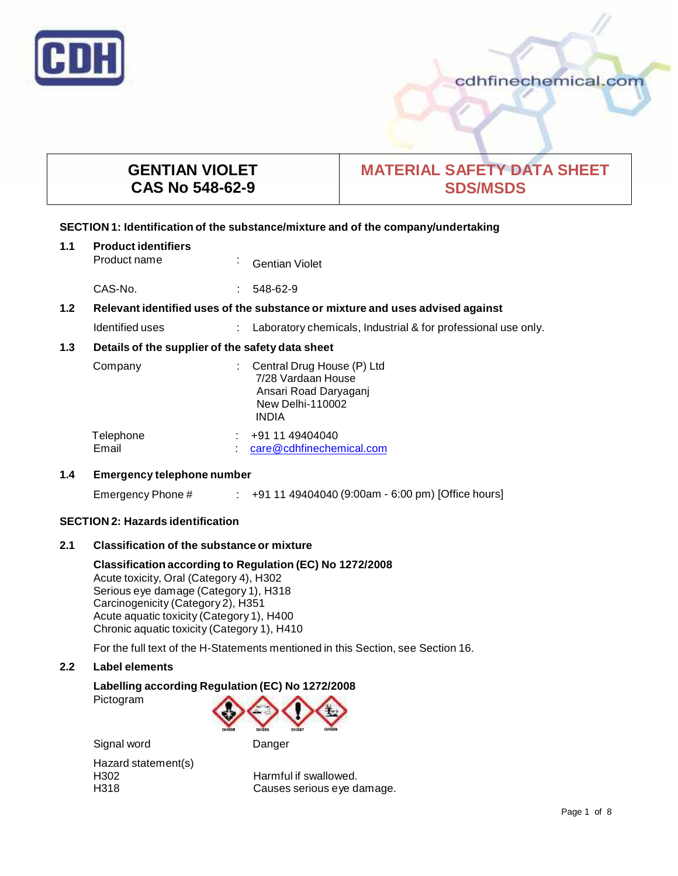

# cdhfinechemical.com

# **GENTIAN VIOLET CAS No 548-62-9**

# **MATERIAL SAFETY DATA SHEET SDS/MSDS**

# **SECTION 1: Identification of the substance/mixture and of the company/undertaking**

| 1.1                                                     | <b>Product identifiers</b><br>Product name                                    | $\blacksquare$ | <b>Gentian Violet</b>                                                                                                |  |
|---------------------------------------------------------|-------------------------------------------------------------------------------|----------------|----------------------------------------------------------------------------------------------------------------------|--|
|                                                         | CAS-No.                                                                       |                | 548-62-9                                                                                                             |  |
| 1.2                                                     | Relevant identified uses of the substance or mixture and uses advised against |                |                                                                                                                      |  |
|                                                         | Identified uses                                                               |                | Laboratory chemicals, Industrial & for professional use only.                                                        |  |
| 1.3<br>Details of the supplier of the safety data sheet |                                                                               |                |                                                                                                                      |  |
|                                                         | Company                                                                       |                | Central Drug House (P) Ltd<br>7/28 Vardaan House<br>Ansari Road Daryaganj<br><b>New Delhi-110002</b><br><b>INDIA</b> |  |
|                                                         | Telephone<br>Email                                                            |                | +91 11 49404040<br>care@cdhfinechemical.com                                                                          |  |

# **1.4 Emergency telephone number**

Emergency Phone # : +91 11 49404040 (9:00am - 6:00 pm) [Office hours]

# **SECTION 2: Hazards identification**

# **2.1 Classification of the substance ormixture**

Signal word Danger

**Classification according to Regulation (EC) No 1272/2008** Acute toxicity, Oral (Category 4), H302 Serious eye damage (Category 1), H318 Carcinogenicity (Category 2), H351 Acute aquatic toxicity (Category 1), H400 Chronic aquatic toxicity (Category 1), H410

For the full text of the H-Statements mentioned in this Section, see Section 16.

#### **2.2 Label elements**

#### **Labelling according Regulation (EC) No 1272/2008**

Pictogram



Hazard statement(s)

H302 Harmful if swallowed. H318 Causes serious eye damage.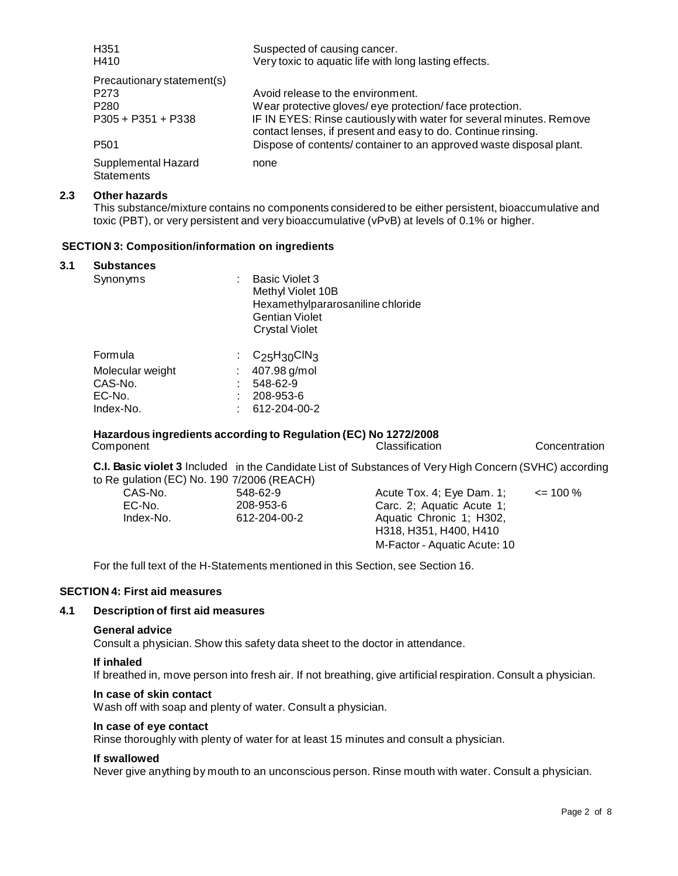| H <sub>351</sub><br>H410                 | Suspected of causing cancer.<br>Very toxic to aquatic life with long lasting effects.                                               |
|------------------------------------------|-------------------------------------------------------------------------------------------------------------------------------------|
| Precautionary statement(s)               |                                                                                                                                     |
| P <sub>273</sub>                         | Avoid release to the environment.                                                                                                   |
| P <sub>280</sub>                         | Wear protective gloves/eye protection/face protection.                                                                              |
| $P305 + P351 + P338$                     | IF IN EYES: Rinse cautiously with water for several minutes. Remove<br>contact lenses, if present and easy to do. Continue rinsing. |
| P <sub>501</sub>                         | Dispose of contents/container to an approved waste disposal plant.                                                                  |
| Supplemental Hazard<br><b>Statements</b> | none                                                                                                                                |

#### **2.3 Other hazards**

This substance/mixture contains no components considered to be either persistent, bioaccumulative and toxic (PBT), or very persistent and very bioaccumulative (vPvB) at levels of 0.1% or higher.

#### **SECTION 3: Composition/information on ingredients**

#### **3.1 Substances**

| Synonyms                                                      | ÷ | <b>Basic Violet 3</b><br>Methyl Violet 10B<br>Hexamethylpararosaniline chloride<br>Gentian Violet<br><b>Crystal Violet</b> |
|---------------------------------------------------------------|---|----------------------------------------------------------------------------------------------------------------------------|
| Formula<br>Molecular weight<br>CAS-No.<br>EC-No.<br>Index-No. |   | : $C_{25}H_{30}CIN_{3}$<br>407.98 g/mol<br>548-62-9<br>208-953-6<br>612-204-00-2                                           |
|                                                               |   |                                                                                                                            |

# **Hazardous ingredients according to Regulation (EC) No 1272/2008**

**Concentration** 

**C.I. Basic violet 3** Included in the Candidate List of Substances of Very High Concern (SVHC) according to Re gulation (EC) No. 190 7/2006 (REACH)

| CAS-No.   | 548-62-9     | Acute Tox. 4; Eye Dam. 1;                          | $\leq$ 100 % |  |
|-----------|--------------|----------------------------------------------------|--------------|--|
| EC-No.    | 208-953-6    | Carc. 2: Aguatic Acute 1:                          |              |  |
| Index-No. | 612-204-00-2 | Aquatic Chronic 1; H302,<br>H318, H351, H400, H410 |              |  |
|           |              | M-Factor - Aquatic Acute: 10                       |              |  |
|           |              |                                                    |              |  |

For the full text of the H-Statements mentioned in this Section, see Section 16.

#### **SECTION 4: First aid measures**

#### **4.1 Description of first aid measures**

#### **General advice**

Consult a physician. Show this safety data sheet to the doctor in attendance.

#### **If inhaled**

If breathed in, move person into fresh air. If not breathing, give artificial respiration. Consult a physician.

#### **In case of skin contact**

Wash off with soap and plenty of water. Consult a physician.

# **In case of eye contact**

Rinse thoroughly with plenty of water for at least 15 minutes and consult a physician.

#### **If swallowed**

Never give anything by mouth to an unconscious person. Rinse mouth with water. Consult a physician.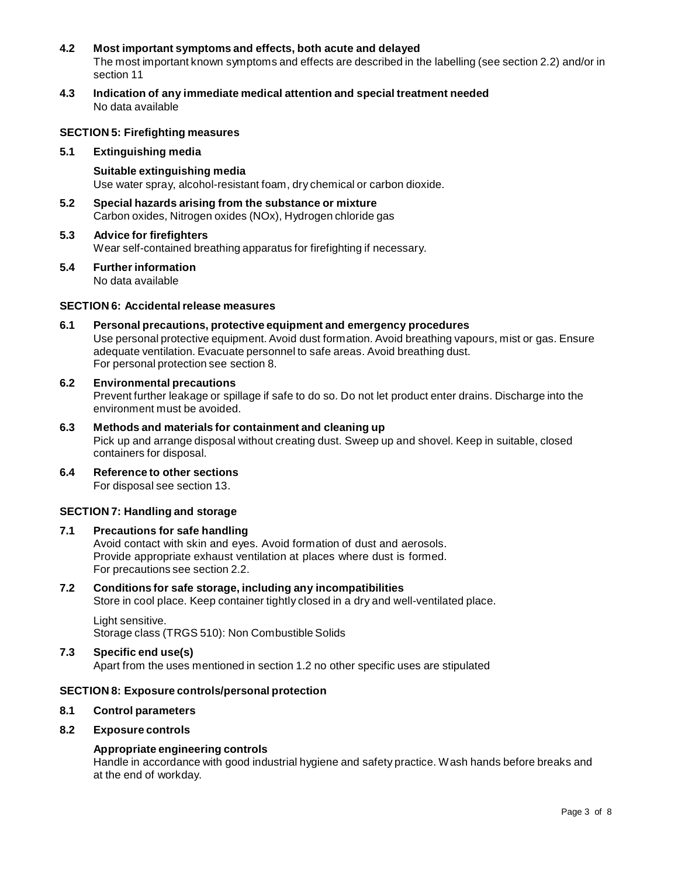#### **4.2 Most important symptoms and effects, both acute and delayed** The most important known symptoms and effects are described in the labelling (see section 2.2) and/or in section 11

**4.3 Indication of any immediate medical attention and special treatment needed** No data available

#### **SECTION 5: Firefighting measures**

#### **5.1 Extinguishing media**

**Suitable extinguishing media** Use water spray, alcohol-resistant foam, dry chemical or carbon dioxide.

- **5.2 Special hazards arising from the substance ormixture** Carbon oxides, Nitrogen oxides (NOx), Hydrogen chloride gas
- **5.3 Advice for firefighters** Wear self-contained breathing apparatus for firefighting if necessary.
- **5.4 Further information** No data available

#### **SECTION 6: Accidentalrelease measures**

**6.1 Personal precautions, protective equipment and emergency procedures** Use personal protective equipment. Avoid dust formation. Avoid breathing vapours, mist or gas. Ensure adequate ventilation. Evacuate personnel to safe areas. Avoid breathing dust. For personal protection see section 8.

# **6.2 Environmental precautions**

Prevent further leakage or spillage if safe to do so. Do not let product enter drains. Discharge into the environment must be avoided.

- **6.3 Methods and materials for containment and cleaning up** Pick up and arrange disposal without creating dust. Sweep up and shovel. Keep in suitable, closed containers for disposal.
- **6.4 Reference to other sections** For disposal see section 13.

### **SECTION 7: Handling and storage**

#### **7.1 Precautions for safe handling**

Avoid contact with skin and eyes. Avoid formation of dust and aerosols. Provide appropriate exhaust ventilation at places where dust is formed. For precautions see section 2.2.

# **7.2 Conditions for safe storage, including any incompatibilities**

Store in cool place. Keep container tightly closed in a dry and well-ventilated place.

Light sensitive. Storage class (TRGS 510): Non Combustible Solids

# **7.3 Specific end use(s)**

Apart from the uses mentioned in section 1.2 no other specific uses are stipulated

### **SECTION 8: Exposure controls/personal protection**

#### **8.1 Control parameters**

# **8.2 Exposure controls**

# **Appropriate engineering controls**

Handle in accordance with good industrial hygiene and safety practice. Wash hands before breaks and at the end of workday.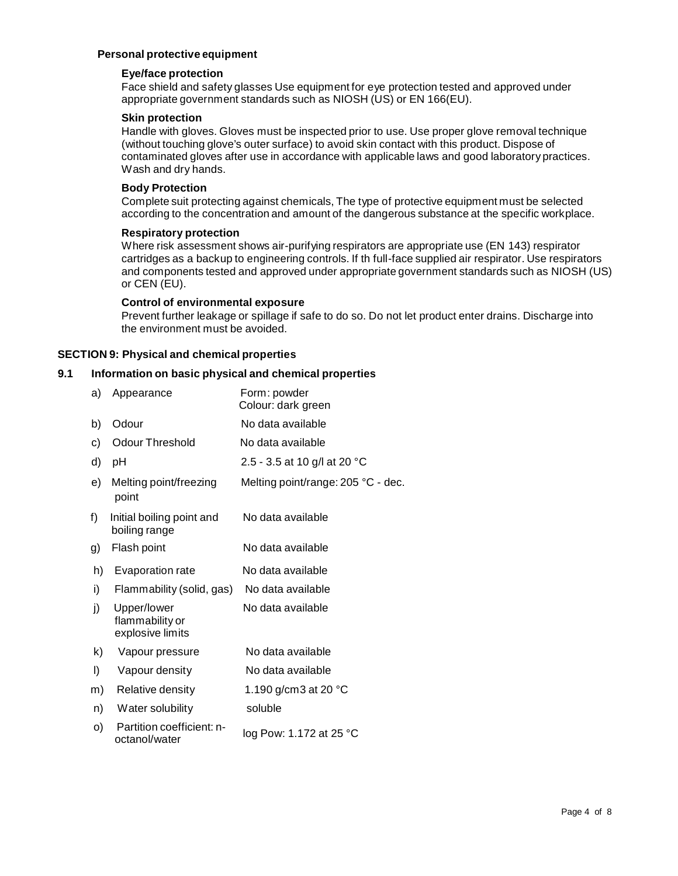# **Personal protective equipment**

#### **Eye/face protection**

Face shield and safety glasses Use equipment for eye protection tested and approved under appropriate government standards such as NIOSH (US) or EN 166(EU).

### **Skin protection**

Handle with gloves. Gloves must be inspected prior to use. Use proper glove removal technique (without touching glove's outer surface) to avoid skin contact with this product. Dispose of contaminated gloves after use in accordance with applicable laws and good laboratory practices. Wash and dry hands.

#### **Body Protection**

Complete suit protecting against chemicals, The type of protective equipment must be selected according to the concentration and amount of the dangerous substance at the specific workplace.

#### **Respiratory protection**

Where risk assessment shows air-purifying respirators are appropriate use (EN 143) respirator cartridges as a backup to engineering controls. If th full-face supplied air respirator. Use respirators and components tested and approved under appropriate government standards such as NIOSH (US) or CEN (EU).

#### **Control of environmental exposure**

Prevent further leakage or spillage if safe to do so. Do not let product enter drains. Discharge into the environment must be avoided.

#### **SECTION 9: Physical and chemical properties**

#### **9.1 Information on basic physical and chemical properties**

| a) | Appearance                                         | Form: powder<br>Colour: dark green |
|----|----------------------------------------------------|------------------------------------|
| b) | Odour                                              | No data available                  |
| C) | Odour Threshold                                    | No data available                  |
| d) | рH                                                 | 2.5 - 3.5 at 10 g/l at 20 °C       |
| e) | Melting point/freezing<br>point                    | Melting point/range: 205 °C - dec. |
| f) | Initial boiling point and<br>boiling range         | No data available                  |
| g) | Flash point                                        | No data available                  |
| h) | Evaporation rate                                   | No data available                  |
| i) | Flammability (solid, gas)                          | No data available                  |
| j) | Upper/lower<br>flammability or<br>explosive limits | No data available                  |
| k) | Vapour pressure                                    | No data available                  |
| I) | Vapour density                                     | No data available                  |
| m) | Relative density                                   | 1.190 g/cm3 at 20 $^{\circ}$ C     |
| n) | Water solubility                                   | soluble                            |
| O) | Partition coefficient: n-<br>octanol/water         | log Pow: 1.172 at 25 °C            |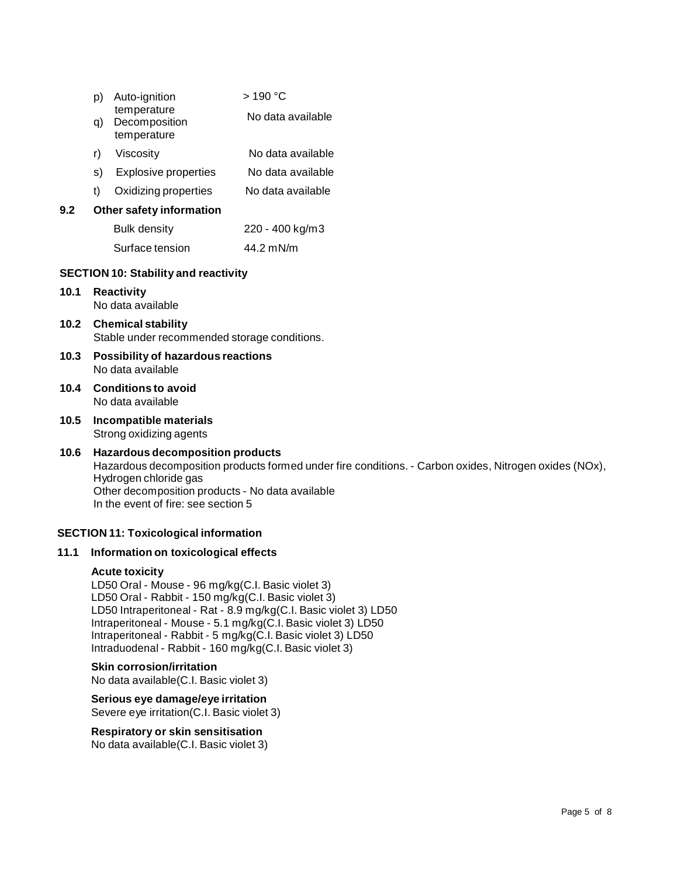| p)   |                                                                           | Auto-ignition                               | >190 °C           |  |
|------|---------------------------------------------------------------------------|---------------------------------------------|-------------------|--|
|      | q)                                                                        | temperature<br>Decomposition<br>temperature | No data available |  |
|      | r)                                                                        | Viscosity                                   | No data available |  |
|      |                                                                           | s) Explosive properties                     | No data available |  |
|      | t)                                                                        | Oxidizing properties                        | No data available |  |
| 9.2  |                                                                           | Other safety information                    |                   |  |
|      |                                                                           | Bulk density                                | 220 - 400 kg/m3   |  |
|      |                                                                           | Surface tension                             | 44.2 mN/m         |  |
|      |                                                                           | <b>SECTION 10: Stability and reactivity</b> |                   |  |
| 10.1 | <b>Reactivity</b><br>No data available                                    |                                             |                   |  |
| 10.2 | <b>Chemical stability</b><br>Stable under recommended storage conditions. |                                             |                   |  |
| 10.3 | <b>Possibility of hazardous reactions</b><br>No data available            |                                             |                   |  |
| 10.4 | <b>Conditions to avoid</b><br>No data available                           |                                             |                   |  |
|      |                                                                           |                                             |                   |  |

**10.5 Incompatible materials** Strong oxidizing agents

# **10.6 Hazardous decomposition products** Hazardous decomposition products formed under fire conditions. - Carbon oxides, Nitrogen oxides (NOx), Hydrogen chloride gas Other decomposition products - No data available In the event of fire: see section 5

### **SECTION 11: Toxicological information**

#### **11.1 Information on toxicological effects**

#### **Acute toxicity**

LD50 Oral - Mouse - 96 mg/kg(C.I. Basic violet 3) LD50 Oral - Rabbit - 150 mg/kg(C.I. Basic violet 3) LD50 Intraperitoneal - Rat - 8.9 mg/kg(C.I. Basic violet 3) LD50 Intraperitoneal - Mouse - 5.1 mg/kg(C.I. Basic violet 3) LD50 Intraperitoneal - Rabbit - 5 mg/kg(C.I. Basic violet 3) LD50 Intraduodenal - Rabbit - 160 mg/kg(C.I. Basic violet 3)

#### **Skin corrosion/irritation**

No data available(C.I. Basic violet 3)

**Serious eye damage/eye irritation** Severe eye irritation(C.I. Basic violet 3)

#### **Respiratory orskin sensitisation**

No data available(C.I. Basic violet 3)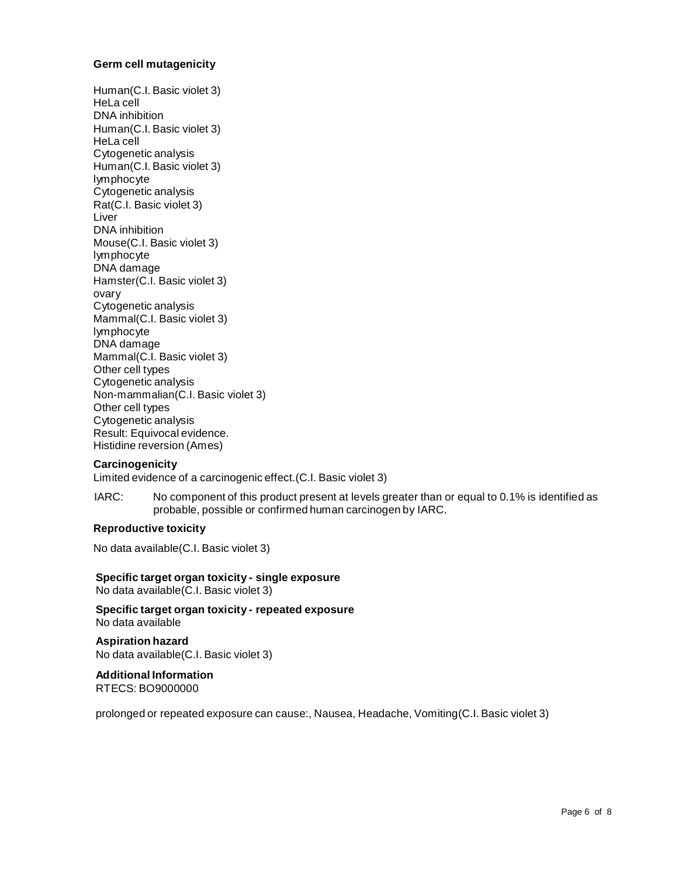### **Germ cell mutagenicity**

Human(C.I. Basic violet 3) HeLa cell DNA inhibition Human(C.I. Basic violet 3) HeLa cell Cytogenetic analysis Human(C.I. Basic violet 3) lymphocyte Cytogenetic analysis Rat(C.I. Basic violet 3) Liver DNA inhibition Mouse(C.I. Basic violet 3) lymphocyte DNA damage Hamster(C.I. Basic violet 3) ovary Cytogenetic analysis Mammal(C.I. Basic violet 3) lymphocyte DNA damage Mammal(C.I. Basic violet 3) Other cell types Cytogenetic analysis Non-mammalian(C.I. Basic violet 3) Other cell types Cytogenetic analysis Result: Equivocal evidence. Histidine reversion (Ames)

#### **Carcinogenicity**

Limited evidence of a carcinogenic effect.(C.I. Basic violet 3)

IARC: No component of this product present at levels greater than or equal to 0.1% is identified as probable, possible or confirmed human carcinogen by IARC.

#### **Reproductive toxicity**

No data available(C.I. Basic violet 3)

**Specific target organ toxicity - single exposure** No data available(C.I. Basic violet 3)

**Specific target organ toxicity - repeated exposure** No data available

**Aspiration hazard** No data available(C.I. Basic violet 3)

# **Additional Information**

RTECS: BO9000000

prolonged or repeated exposure can cause:, Nausea, Headache, Vomiting(C.I. Basic violet 3)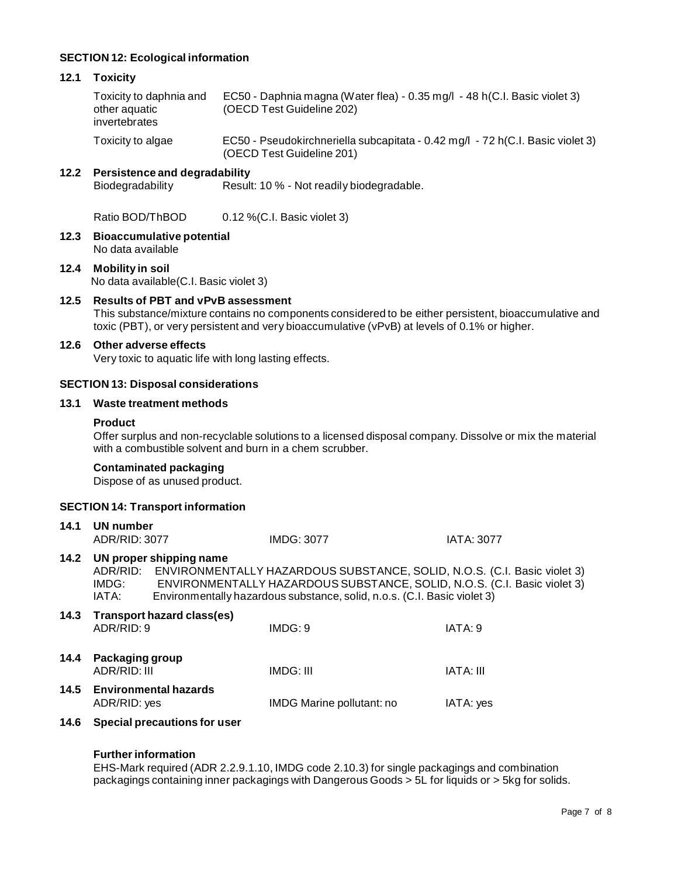# **SECTION 12: Ecological information**

#### **12.1 Toxicity**

Toxicity to daphnia and other aquatic invertebrates EC50 - Daphnia magna (Water flea) - 0.35 mg/l - 48 h(C.I. Basic violet 3) (OECD Test Guideline 202) Toxicity to algae EC50 - Pseudokirchneriella subcapitata - 0.42 mg/l - 72 h(C.I. Basic violet 3)

(OECD Test Guideline 201)

# **12.2 Persistence and degradability**

Result: 10 % - Not readily biodegradable.

Ratio BOD/ThBOD 0.12 % (C.I. Basic violet 3)

**12.3 Bioaccumulative potential** No data available

# **12.4 Mobility in soil** No data available(C.I. Basic violet 3)

**12.5 Results of PBT and vPvB assessment** This substance/mixture contains no components considered to be either persistent, bioaccumulative and toxic (PBT), or very persistent and very bioaccumulative (vPvB) at levels of 0.1% or higher.

# **12.6 Other adverse effects**

Very toxic to aquatic life with long lasting effects.

# **SECTION 13: Disposal considerations**

#### **13.1 Waste treatment methods**

#### **Product**

Offer surplus and non-recyclable solutions to a licensed disposal company. Dissolve or mix the material with a combustible solvent and burn in a chem scrubber.

#### **Contaminated packaging**

Dispose of as unused product.

### **SECTION 14: Transport information**

| 14.1 | UN number<br>ADR/RID: 3077      |                                   | <b>IMDG: 3077</b>                                                                                                                                                                                                                         | <b>IATA: 3077</b> |
|------|---------------------------------|-----------------------------------|-------------------------------------------------------------------------------------------------------------------------------------------------------------------------------------------------------------------------------------------|-------------------|
| 14.2 | IMDG:<br>IATA:                  | UN proper shipping name           | ADR/RID: ENVIRONMENTALLY HAZARDOUS SUBSTANCE, SOLID, N.O.S. (C.I. Basic violet 3)<br>ENVIRONMENTALLY HAZARDOUS SUBSTANCE, SOLID, N.O.S. (C.I. Basic violet 3)<br>Environmentally hazardous substance, solid, n.o.s. (C.I. Basic violet 3) |                   |
| 14.3 | ADR/RID: 9                      | <b>Transport hazard class(es)</b> | IMDG:9                                                                                                                                                                                                                                    | IATA: 9           |
| 14.4 | Packaging group<br>ADR/RID: III |                                   | IMDG: III                                                                                                                                                                                                                                 | <b>IATA: III</b>  |
|      | ADR/RID: yes                    | 14.5 Environmental hazards        | IMDG Marine pollutant: no                                                                                                                                                                                                                 | IATA: yes         |
| 14.6 |                                 | Special precautions for user      |                                                                                                                                                                                                                                           |                   |

#### **Further information**

EHS-Mark required (ADR 2.2.9.1.10, IMDG code 2.10.3) for single packagings and combination packagings containing inner packagings with Dangerous Goods > 5L for liquids or > 5kg for solids.